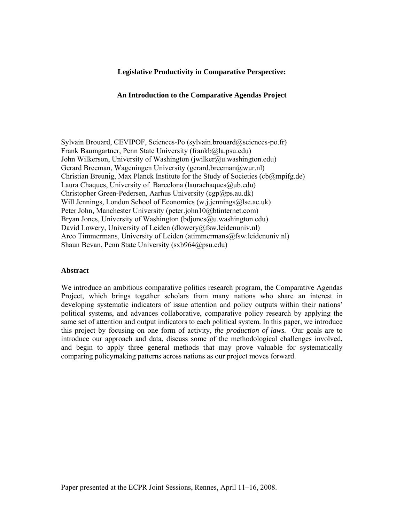#### **Legislative Productivity in Comparative Perspective:**

#### **An Introduction to the Comparative Agendas Project**

Sylvain Brouard, CEVIPOF, Sciences-Po (sylvain.brouard@sciences-po.fr) Frank Baumgartner, Penn State University (frankb@la.psu.edu) John Wilkerson, University of Washington (jwilker@u.washington.edu) Gerard Breeman, Wageningen University (gerard.breeman@wur.nl) Christian Breunig, Max Planck Institute for the Study of Societies ( $cb@mpifg.de$ ) Laura Chaques, University of Barcelona (laurachaques $(\partial_\mu u b. \text{edu})$ ) Christopher Green-Pedersen, Aarhus University (cgp@ps.au.dk) Will Jennings, London School of Economics (w.j.jennings@lse.ac.uk) Peter John, Manchester University (peter.john10@btinternet.com) Bryan Jones, University of Washington (bdjones@u.washington.edu) David Lowery, University of Leiden (dlowery@fsw.leidenuniv.nl) Arco Timmermans, University of Leiden (atimmermans@fsw.leidenuniv.nl) Shaun Bevan, Penn State University (sxb964@psu.edu)

#### **Abstract**

We introduce an ambitious comparative politics research program, the Comparative Agendas Project, which brings together scholars from many nations who share an interest in developing systematic indicators of issue attention and policy outputs within their nations' political systems, and advances collaborative, comparative policy research by applying the same set of attention and output indicators to each political system. In this paper, we introduce this project by focusing on one form of activity, *the production of laws.* Our goals are to introduce our approach and data, discuss some of the methodological challenges involved, and begin to apply three general methods that may prove valuable for systematically comparing policymaking patterns across nations as our project moves forward.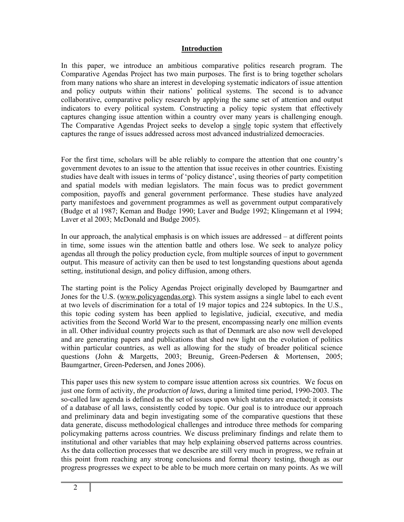### **Introduction**

In this paper, we introduce an ambitious comparative politics research program. The Comparative Agendas Project has two main purposes. The first is to bring together scholars from many nations who share an interest in developing systematic indicators of issue attention and policy outputs within their nations' political systems. The second is to advance collaborative, comparative policy research by applying the same set of attention and output indicators to every political system. Constructing a policy topic system that effectively captures changing issue attention within a country over many years is challenging enough. The Comparative Agendas Project seeks to develop a single topic system that effectively captures the range of issues addressed across most advanced industrialized democracies.

For the first time, scholars will be able reliably to compare the attention that one country's government devotes to an issue to the attention that issue receives in other countries. Existing studies have dealt with issues in terms of 'policy distance', using theories of party competition and spatial models with median legislators. The main focus was to predict government composition, payoffs and general government performance. These studies have analyzed party manifestoes and government programmes as well as government output comparatively (Budge et al 1987; Keman and Budge 1990; Laver and Budge 1992; Klingemann et al 1994; Laver et al 2003; McDonald and Budge 2005).

In our approach, the analytical emphasis is on which issues are addressed – at different points in time, some issues win the attention battle and others lose. We seek to analyze policy agendas all through the policy production cycle, from multiple sources of input to government output. This measure of activity can then be used to test longstanding questions about agenda setting, institutional design, and policy diffusion, among others.

The starting point is the Policy Agendas Project originally developed by Baumgartner and Jones for the U.S. (www.policyagendas.org). This system assigns a single label to each event at two levels of discrimination for a total of 19 major topics and 224 subtopics. In the U.S., this topic coding system has been applied to legislative, judicial, executive, and media activities from the Second World War to the present, encompassing nearly one million events in all. Other individual country projects such as that of Denmark are also now well developed and are generating papers and publications that shed new light on the evolution of politics within particular countries, as well as allowing for the study of broader political science questions (John & Margetts, 2003; Breunig, Green-Pedersen & Mortensen, 2005; Baumgartner, Green-Pedersen, and Jones 2006).

This paper uses this new system to compare issue attention across six countries. We focus on just one form of activity, *the production of laws*, during a limited time period, 1990-2003. The so-called law agenda is defined as the set of issues upon which statutes are enacted; it consists of a database of all laws, consistently coded by topic. Our goal is to introduce our approach and preliminary data and begin investigating some of the comparative questions that these data generate, discuss methodological challenges and introduce three methods for comparing policymaking patterns across countries. We discuss preliminary findings and relate them to institutional and other variables that may help explaining observed patterns across countries. As the data collection processes that we describe are still very much in progress, we refrain at this point from reaching any strong conclusions and formal theory testing, though as our progress progresses we expect to be able to be much more certain on many points. As we will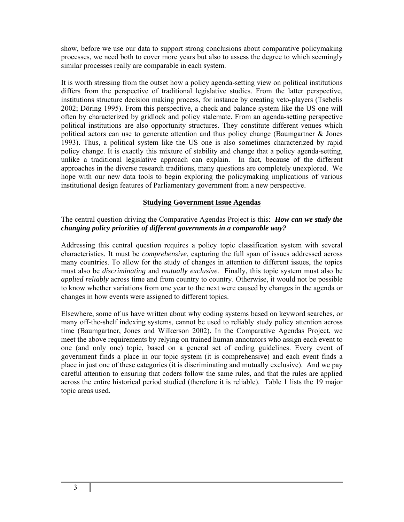show, before we use our data to support strong conclusions about comparative policymaking processes, we need both to cover more years but also to assess the degree to which seemingly similar processes really are comparable in each system.

It is worth stressing from the outset how a policy agenda-setting view on political institutions differs from the perspective of traditional legislative studies. From the latter perspective, institutions structure decision making process, for instance by creating veto-players (Tsebelis 2002; Döring 1995). From this perspective, a check and balance system like the US one will often by characterized by gridlock and policy stalemate. From an agenda-setting perspective political institutions are also opportunity structures. They constitute different venues which political actors can use to generate attention and thus policy change (Baumgartner & Jones 1993). Thus, a political system like the US one is also sometimes characterized by rapid policy change. It is exactly this mixture of stability and change that a policy agenda-setting, unlike a traditional legislative approach can explain. In fact, because of the different approaches in the diverse research traditions, many questions are completely unexplored. We hope with our new data tools to begin exploring the policymaking implications of various institutional design features of Parliamentary government from a new perspective.

### **Studying Government Issue Agendas**

The central question driving the Comparative Agendas Project is this: *How can we study the changing policy priorities of different governments in a comparable way?* 

Addressing this central question requires a policy topic classification system with several characteristics. It must be *comprehensive*, capturing the full span of issues addressed across many countries. To allow for the study of changes in attention to different issues, the topics must also be *discriminating* and *mutually exclusive.* Finally, this topic system must also be *applied reliably* across time and from country to country. Otherwise, it would not be possible to know whether variations from one year to the next were caused by changes in the agenda or changes in how events were assigned to different topics.

Elsewhere, some of us have written about why coding systems based on keyword searches, or many off-the-shelf indexing systems, cannot be used to reliably study policy attention across time (Baumgartner, Jones and Wilkerson 2002). In the Comparative Agendas Project, we meet the above requirements by relying on trained human annotators who assign each event to one (and only one) topic, based on a general set of coding guidelines. Every event of government finds a place in our topic system (it is comprehensive) and each event finds a place in just one of these categories (it is discriminating and mutually exclusive). And we pay careful attention to ensuring that coders follow the same rules, and that the rules are applied across the entire historical period studied (therefore it is reliable). Table 1 lists the 19 major topic areas used.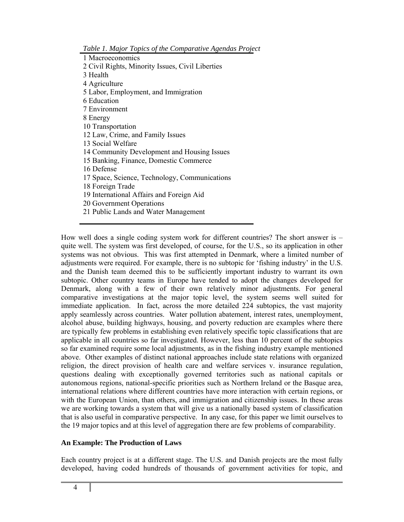*Table 1. Major Topics of the Comparative Agendas Project* 

1 Macroeconomics 2 Civil Rights, Minority Issues, Civil Liberties 3 Health 4 Agriculture 5 Labor, Employment, and Immigration 6 Education 7 Environment 8 Energy 10 Transportation 12 Law, Crime, and Family Issues 13 Social Welfare 14 Community Development and Housing Issues 15 Banking, Finance, Domestic Commerce 16 Defense 17 Space, Science, Technology, Communications 18 Foreign Trade 19 International Affairs and Foreign Aid 20 Government Operations

21 Public Lands and Water Management

How well does a single coding system work for different countries? The short answer is – quite well. The system was first developed, of course, for the U.S., so its application in other systems was not obvious. This was first attempted in Denmark, where a limited number of adjustments were required. For example, there is no subtopic for 'fishing industry' in the U.S. and the Danish team deemed this to be sufficiently important industry to warrant its own subtopic. Other country teams in Europe have tended to adopt the changes developed for Denmark, along with a few of their own relatively minor adjustments. For general comparative investigations at the major topic level, the system seems well suited for immediate application. In fact, across the more detailed 224 subtopics, the vast majority apply seamlessly across countries. Water pollution abatement, interest rates, unemployment, alcohol abuse, building highways, housing, and poverty reduction are examples where there are typically few problems in establishing even relatively specific topic classifications that are applicable in all countries so far investigated. However, less than 10 percent of the subtopics so far examined require some local adjustments, as in the fishing industry example mentioned above. Other examples of distinct national approaches include state relations with organized religion, the direct provision of health care and welfare services v. insurance regulation, questions dealing with exceptionally governed territories such as national capitals or autonomous regions, national-specific priorities such as Northern Ireland or the Basque area, international relations where different countries have more interaction with certain regions, or with the European Union, than others, and immigration and citizenship issues. In these areas we are working towards a system that will give us a nationally based system of classification that is also useful in comparative perspective. In any case, for this paper we limit ourselves to the 19 major topics and at this level of aggregation there are few problems of comparability.

## **An Example: The Production of Laws**

Each country project is at a different stage. The U.S. and Danish projects are the most fully developed, having coded hundreds of thousands of government activities for topic, and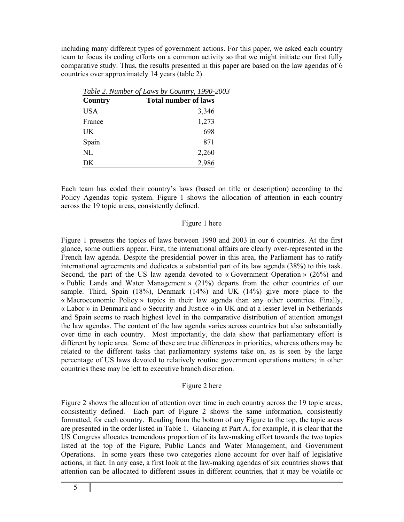including many different types of government actions. For this paper, we asked each country team to focus its coding efforts on a common activity so that we might initiate our first fully comparative study. Thus, the results presented in this paper are based on the law agendas of 6 countries over approximately 14 years (table 2).

|            | Table 2. Number of Laws by Country, 1990-2003 |
|------------|-----------------------------------------------|
| Country    | <b>Total number of laws</b>                   |
| <b>USA</b> | 3,346                                         |
| France     | 1,273                                         |
| UK         | 698                                           |
| Spain      | 871                                           |
| NL         | 2,260                                         |
| DK         | 2,986                                         |

Each team has coded their country's laws (based on title or description) according to the Policy Agendas topic system. Figure 1 shows the allocation of attention in each country across the 19 topic areas, consistently defined.

### Figure 1 here

Figure 1 presents the topics of laws between 1990 and 2003 in our 6 countries. At the first glance, some outliers appear. First, the international affairs are clearly over-represented in the French law agenda. Despite the presidential power in this area, the Parliament has to ratify international agreements and dedicates a substantial part of its law agenda (38%) to this task. Second, the part of the US law agenda devoted to « Government Operation » (26%) and « Public Lands and Water Management » (21%) departs from the other countries of our sample. Third, Spain (18%), Denmark (14%) and UK (14%) give more place to the « Macroeconomic Policy » topics in their law agenda than any other countries. Finally, « Labor » in Denmark and « Security and Justice » in UK and at a lesser level in Netherlands and Spain seems to reach highest level in the comparative distribution of attention amongst the law agendas. The content of the law agenda varies across countries but also substantially over time in each country. Most importantly, the data show that parliamentary effort is different by topic area. Some of these are true differences in priorities, whereas others may be related to the different tasks that parliamentary systems take on, as is seen by the large percentage of US laws devoted to relatively routine government operations matters; in other countries these may be left to executive branch discretion.

#### Figure 2 here

Figure 2 shows the allocation of attention over time in each country across the 19 topic areas, consistently defined. Each part of Figure 2 shows the same information, consistently formatted, for each country. Reading from the bottom of any Figure to the top, the topic areas are presented in the order listed in Table 1. Glancing at Part A, for example, it is clear that the US Congress allocates tremendous proportion of its law-making effort towards the two topics listed at the top of the Figure, Public Lands and Water Management, and Government Operations. In some years these two categories alone account for over half of legislative actions, in fact. In any case, a first look at the law-making agendas of six countries shows that attention can be allocated to different issues in different countries, that it may be volatile or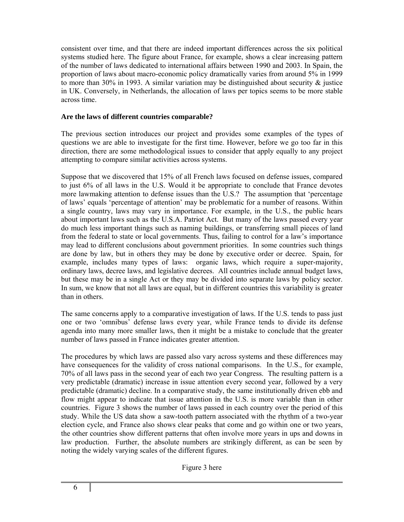consistent over time, and that there are indeed important differences across the six political systems studied here. The figure about France, for example, shows a clear increasing pattern of the number of laws dedicated to international affairs between 1990 and 2003. In Spain, the proportion of laws about macro-economic policy dramatically varies from around 5% in 1999 to more than 30% in 1993. A similar variation may be distinguished about security  $\&$  justice in UK. Conversely, in Netherlands, the allocation of laws per topics seems to be more stable across time.

## **Are the laws of different countries comparable?**

The previous section introduces our project and provides some examples of the types of questions we are able to investigate for the first time. However, before we go too far in this direction, there are some methodological issues to consider that apply equally to any project attempting to compare similar activities across systems.

Suppose that we discovered that 15% of all French laws focused on defense issues, compared to just 6% of all laws in the U.S. Would it be appropriate to conclude that France devotes more lawmaking attention to defense issues than the U.S.? The assumption that 'percentage of laws' equals 'percentage of attention' may be problematic for a number of reasons. Within a single country, laws may vary in importance. For example, in the U.S., the public hears about important laws such as the U.S.A. Patriot Act. But many of the laws passed every year do much less important things such as naming buildings, or transferring small pieces of land from the federal to state or local governments. Thus, failing to control for a law's importance may lead to different conclusions about government priorities. In some countries such things are done by law, but in others they may be done by executive order or decree. Spain, for example, includes many types of laws: organic laws, which require a super-majority, ordinary laws, decree laws, and legislative decrees. All countries include annual budget laws, but these may be in a single Act or they may be divided into separate laws by policy sector. In sum, we know that not all laws are equal, but in different countries this variability is greater than in others.

The same concerns apply to a comparative investigation of laws. If the U.S. tends to pass just one or two 'omnibus' defense laws every year, while France tends to divide its defense agenda into many more smaller laws, then it might be a mistake to conclude that the greater number of laws passed in France indicates greater attention.

The procedures by which laws are passed also vary across systems and these differences may have consequences for the validity of cross national comparisons. In the U.S., for example, 70% of all laws pass in the second year of each two year Congress. The resulting pattern is a very predictable (dramatic) increase in issue attention every second year, followed by a very predictable (dramatic) decline. In a comparative study, the same institutionally driven ebb and flow might appear to indicate that issue attention in the U.S. is more variable than in other countries. Figure 3 shows the number of laws passed in each country over the period of this study. While the US data show a saw-tooth pattern associated with the rhythm of a two-year election cycle, and France also shows clear peaks that come and go within one or two years, the other countries show different patterns that often involve more years in ups and downs in law production. Further, the absolute numbers are strikingly different, as can be seen by noting the widely varying scales of the different figures.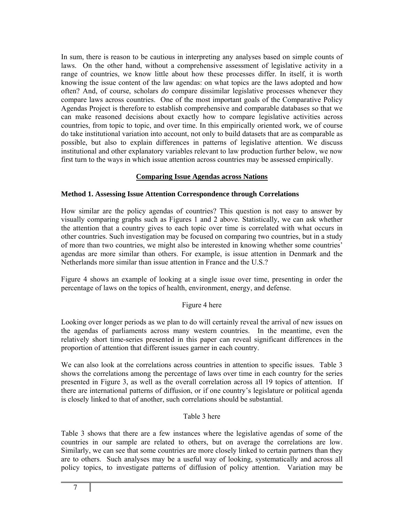In sum, there is reason to be cautious in interpreting any analyses based on simple counts of laws. On the other hand, without a comprehensive assessment of legislative activity in a range of countries, we know little about how these processes differ. In itself, it is worth knowing the issue content of the law agendas: on what topics are the laws adopted and how often? And, of course, scholars *do* compare dissimilar legislative processes whenever they compare laws across countries. One of the most important goals of the Comparative Policy Agendas Project is therefore to establish comprehensive and comparable databases so that we can make reasoned decisions about exactly how to compare legislative activities across countries, from topic to topic, and over time. In this empirically oriented work, we of course do take institutional variation into account, not only to build datasets that are as comparable as possible, but also to explain differences in patterns of legislative attention. We discuss institutional and other explanatory variables relevant to law production further below, we now first turn to the ways in which issue attention across countries may be assessed empirically.

## **Comparing Issue Agendas across Nations**

## **Method 1. Assessing Issue Attention Correspondence through Correlations**

How similar are the policy agendas of countries? This question is not easy to answer by visually comparing graphs such as Figures 1 and 2 above. Statistically, we can ask whether the attention that a country gives to each topic over time is correlated with what occurs in other countries. Such investigation may be focused on comparing two countries, but in a study of more than two countries, we might also be interested in knowing whether some countries' agendas are more similar than others. For example, is issue attention in Denmark and the Netherlands more similar than issue attention in France and the U.S.?

Figure 4 shows an example of looking at a single issue over time, presenting in order the percentage of laws on the topics of health, environment, energy, and defense.

#### Figure 4 here

Looking over longer periods as we plan to do will certainly reveal the arrival of new issues on the agendas of parliaments across many western countries. In the meantime, even the relatively short time-series presented in this paper can reveal significant differences in the proportion of attention that different issues garner in each country.

We can also look at the correlations across countries in attention to specific issues. Table 3 shows the correlations among the percentage of laws over time in each country for the series presented in Figure 3, as well as the overall correlation across all 19 topics of attention. If there are international patterns of diffusion, or if one country's legislature or political agenda is closely linked to that of another, such correlations should be substantial.

#### Table 3 here

Table 3 shows that there are a few instances where the legislative agendas of some of the countries in our sample are related to others, but on average the correlations are low. Similarly, we can see that some countries are more closely linked to certain partners than they are to others. Such analyses may be a useful way of looking, systematically and across all policy topics, to investigate patterns of diffusion of policy attention. Variation may be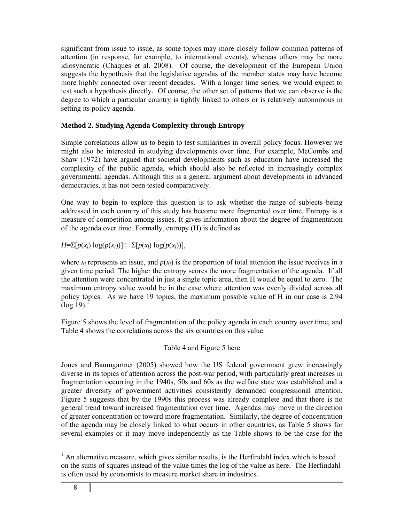significant from issue to issue, as some topics may more closely follow common patterns of attention (in response, for example, to international events), whereas others may be more idiosyncratic (Chaques et al. 2008). Of course, the development of the European Union suggests the hypothesis that the legislative agendas of the member states may have become more highly connected over recent decades. With a longer time series, we would expect to test such a hypothesis directly. Of course, the other set of patterns that we can observe is the degree to which a particular country is tightly linked to others or is relatively autonomous in setting its policy agenda.

## **Method 2. Studying Agenda Complexity through Entropy**

Simple correlations allow us to begin to test similarities in overall policy focus. However we might also be interested in studying developments over time. For example, McCombs and Shaw (1972) have argued that societal developments such as education have increased the complexity of the public agenda, which should also be reflected in increasingly complex governmental agendas. Although this is a general argument about developments in advanced democracies, it has not been tested comparatively.

One way to begin to explore this question is to ask whether the range of subjects being addressed in each country of this study has become more fragmented over time. Entropy is a measure of competition among issues. It gives information about the degree of fragmentation of the agenda over time. Formally, entropy (H) is defined as

*H*=Σ[*p*(*x<sub>i</sub>*) log(*p*(*x<sub>i</sub>*))]≡−Σ[*p*(*x<sub>i</sub>*) log(*p*(*x<sub>i</sub>*))],

where  $x_i$  represents an issue, and  $p(x_i)$  is the proportion of total attention the issue receives in a given time period. The higher the entropy scores the more fragmentation of the agenda. If all the attention were concentrated in just a single topic area, then H would be equal to zero. The maximum entropy value would be in the case where attention was evenly divided across all policy topics. As we have 19 topics, the maximum possible value of H in our case is 2.94  $(\log 19)^1$ 

Figure 5 shows the level of fragmentation of the policy agenda in each country over time, and Table 4 shows the correlations across the six countries on this value.

## Table 4 and Figure 5 here

Jones and Baumgartner (2005) showed how the US federal government grew increasingly diverse in its topics of attention across the post-war period, with particularly great increases in fragmentation occurring in the 1940s, 50s and 60s as the welfare state was established and a greater diversity of government activities consistently demanded congressional attention. Figure 5 suggests that by the 1990s this process was already complete and that there is no general trend toward increased fragmentation over time. Agendas may move in the direction of greater concentration or toward more fragmentation. Similarly, the degree of concentration of the agenda may be closely linked to what occurs in other countries, as Table 5 shows for several examples or it may move independently as the Table shows to be the case for the

l  $<sup>1</sup>$  An alternative measure, which gives similar results, is the Herfindahl index which is based</sup> on the sums of squares instead of the value times the log of the value as here. The Herfindahl is often used by economists to measure market share in industries.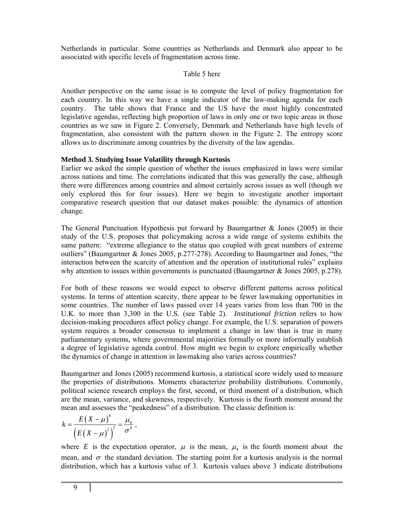Netherlands in particular. Some countries as Netherlands and Denmark also appear to be associated with specific levels of fragmentation across time.

#### Table 5 here

Another perspective on the same issue is to compute the level of policy fragmentation for each country. In this way we have a single indicator of the law-making agenda for each country. The table shows that France and the US have the most highly concentrated legislative agendas, reflecting high proportion of laws in only one or two topic areas in those countries as we saw in Figure 2. Conversely, Denmark and Netherlands have high levels of fragmentation, also consistent with the pattern shown in the Figure 2. The entropy score allows us to discriminate among countries by the diversity of the law agendas.

### **Method 3. Studying Issue Volatility through Kurtosis**

Earlier we asked the simple question of whether the issues emphasized in laws were similar across nations and time. The correlations indicated that this was generally the case, although there were differences among countries and almost certainly across issues as well (though we only explored this for four issues). Here we begin to investigate another important comparative research question that our dataset makes possible: the dynamics of attention change.

The General Punctuation Hypothesis put forward by Baumgartner & Jones (2005) in their study of the U.S. proposes that policymaking across a wide range of systems exhibits the same pattern: "extreme allegiance to the status quo coupled with great numbers of extreme outliers" (Baumgartner & Jones 2005, p.277-278). According to Baumgartner and Jones, "the interaction between the scarcity of attention and the operation of institutional rules" explains why attention to issues within governments is punctuated (Baumgartner & Jones 2005, p.278).

For both of these reasons we would expect to observe different patterns across political systems. In terms of attention scarcity, there appear to be fewer lawmaking opportunities in some countries. The number of laws passed over 14 years varies from less than 700 in the U.K. to more than 3,300 in the U.S. (see Table 2). *Institutional friction* refers to how decision-making procedures affect policy change. For example, the U.S. separation of powers system requires a broader consensus to implement a change in law than is true in many parliamentary systems, where governmental majorities formally or more informally establish a degree of legislative agenda control. How might we begin to explore empirically whether the dynamics of change in attention in lawmaking also varies across countries?

Baumgartner and Jones (2005) recommend kurtosis, a statistical score widely used to measure the properties of distributions. Moments characterize probability distributions. Commonly, political science research employs the first, second, or third moment of a distribution, which are the mean, variance, and skewness, respectively. Kurtosis is the fourth moment around the mean and assesses the "peakedness" of a distribution. The classic definition is:

$$
k = \frac{E(X - \mu)^4}{\left(E(X - \mu)^2\right)^2} = \frac{\mu_4}{\sigma^4},
$$

where *E* is the expectation operator,  $\mu$  is the mean,  $\mu$  is the fourth moment about the mean, and  $\sigma$  the standard deviation. The starting point for a kurtosis analysis is the normal distribution, which has a kurtosis value of 3. Kurtosis values above 3 indicate distributions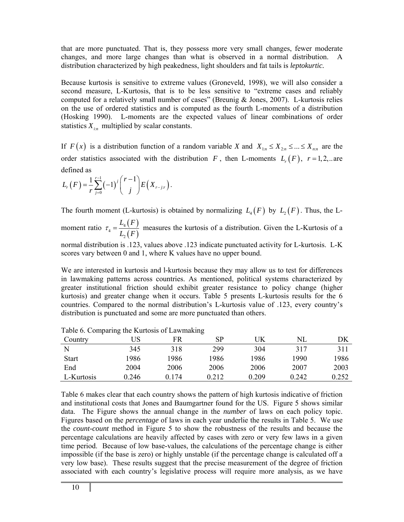that are more punctuated. That is, they possess more very small changes, fewer moderate changes, and more large changes than what is observed in a normal distribution. A distribution characterized by high peakedness, light shoulders and fat tails is *leptokurtic.*

Because kurtosis is sensitive to extreme values (Groneveld, 1998), we will also consider a second measure, L-Kurtosis, that is to be less sensitive to "extreme cases and reliably computed for a relatively small number of cases" (Breunig & Jones, 2007). L-kurtosis relies on the use of ordered statistics and is computed as the fourth L-moments of a distribution (Hosking 1990). L-moments are the expected values of linear combinations of order statistics  $X_{i:n}$  multiplied by scalar constants.

If  $F(x)$  is a distribution function of a random variable *X* and  $X_{1n} \le X_{2n} \le ... \le X_{nn}$  are the order statistics associated with the distribution *F*, then L-moments  $L_r(F)$ ,  $r=1,2,...$  are defined as

$$
L_r(F) = \frac{1}{r} \sum_{j=0}^{r-1} (-1)^j {r-1 \choose j} E(X_{r-j:r}).
$$

The fourth moment (L-kurtosis) is obtained by normalizing  $L_4(F)$  by  $L_2(F)$ . Thus, the L-

moment ratio  $\tau_4 = \frac{L_4(F)}{I_4(F)}$  $(F)$ 4 4  $\mathbf{2}$  $L_{\scriptscriptstyle 4}$  (  $F$  $L, (F$  $\tau_4 = \frac{24}{100}$  measures the kurtosis of a distribution. Given the L-Kurtosis of a

normal distribution is .123, values above .123 indicate punctuated activity for L-kurtosis. L-K scores vary between 0 and 1, where K values have no upper bound.

We are interested in kurtosis and l-kurtosis because they may allow us to test for differences in lawmaking patterns across countries. As mentioned, political systems characterized by greater institutional friction should exhibit greater resistance to policy change (higher kurtosis) and greater change when it occurs. Table 5 presents L-kurtosis results for the 6 countries. Compared to the normal distribution's L-kurtosis value of .123, every country's distribution is punctuated and some are more punctuated than others.

| Country      | JS    | FR    | <b>SP</b> | JK    | NL    | DK    |
|--------------|-------|-------|-----------|-------|-------|-------|
|              | 345   | 318   | 299       | 304   | 317   | 311   |
| <b>Start</b> | 1986  | 1986  | 1986      | 1986  | 1990  | 1986  |
| End          | 2004  | 2006  | 2006      | 2006  | 2007  | 2003  |
| L-Kurtosis   | 0.246 | 0.174 | 0.212     | 0.209 | 0.242 | 0.252 |

Table 6. Comparing the Kurtosis of Lawmaking

Table 6 makes clear that each country shows the pattern of high kurtosis indicative of friction and institutional costs that Jones and Baumgartner found for the US. Figure 5 shows similar data. The Figure shows the annual change in the *number* of laws on each policy topic. Figures based on the *percentage* of laws in each year underlie the results in Table 5. We use the *count-count* method in Figure 5 to show the robustness of the results and because the percentage calculations are heavily affected by cases with zero or very few laws in a given time period. Because of low base-values, the calculations of the percentage change is either impossible (if the base is zero) or highly unstable (if the percentage change is calculated off a very low base). These results suggest that the precise measurement of the degree of friction associated with each country's legislative process will require more analysis, as we have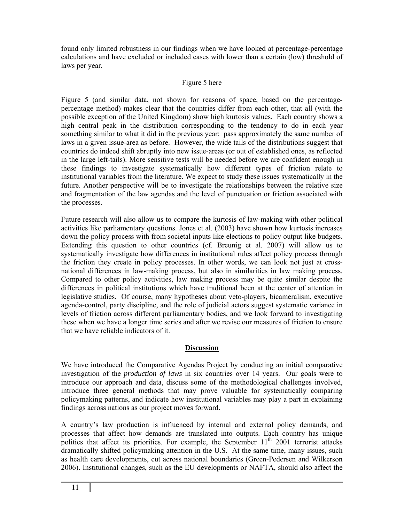found only limited robustness in our findings when we have looked at percentage-percentage calculations and have excluded or included cases with lower than a certain (low) threshold of laws per year.

## Figure 5 here

Figure 5 (and similar data, not shown for reasons of space, based on the percentagepercentage method) makes clear that the countries differ from each other, that all (with the possible exception of the United Kingdom) show high kurtosis values. Each country shows a high central peak in the distribution corresponding to the tendency to do in each year something similar to what it did in the previous year: pass approximately the same number of laws in a given issue-area as before. However, the wide tails of the distributions suggest that countries do indeed shift abruptly into new issue-areas (or out of established ones, as reflected in the large left-tails). More sensitive tests will be needed before we are confident enough in these findings to investigate systematically how different types of friction relate to institutional variables from the literature. We expect to study these issues systematically in the future. Another perspective will be to investigate the relationships between the relative size and fragmentation of the law agendas and the level of punctuation or friction associated with the processes.

Future research will also allow us to compare the kurtosis of law-making with other political activities like parliamentary questions. Jones et al. (2003) have shown how kurtosis increases down the policy process with from societal inputs like elections to policy output like budgets. Extending this question to other countries (cf. Breunig et al. 2007) will allow us to systematically investigate how differences in institutional rules affect policy process through the friction they create in policy processes. In other words, we can look not just at crossnational differences in law-making process, but also in similarities in law making process. Compared to other policy activities, law making process may be quite similar despite the differences in political institutions which have traditional been at the center of attention in legislative studies. Of course, many hypotheses about veto-players, bicameralism, executive agenda-control, party discipline, and the role of judicial actors suggest systematic variance in levels of friction across different parliamentary bodies, and we look forward to investigating these when we have a longer time series and after we revise our measures of friction to ensure that we have reliable indicators of it.

# **Discussion**

We have introduced the Comparative Agendas Project by conducting an initial comparative investigation of the *production of laws* in six countries over 14 years.Our goals were to introduce our approach and data, discuss some of the methodological challenges involved, introduce three general methods that may prove valuable for systematically comparing policymaking patterns, and indicate how institutional variables may play a part in explaining findings across nations as our project moves forward.

A country's law production is influenced by internal and external policy demands, and processes that affect how demands are translated into outputs. Each country has unique politics that affect its priorities. For example, the September  $11<sup>th</sup>$  2001 terrorist attacks dramatically shifted policymaking attention in the U.S. At the same time, many issues, such as health care developments, cut across national boundaries (Green-Pedersen and Wilkerson 2006). Institutional changes, such as the EU developments or NAFTA, should also affect the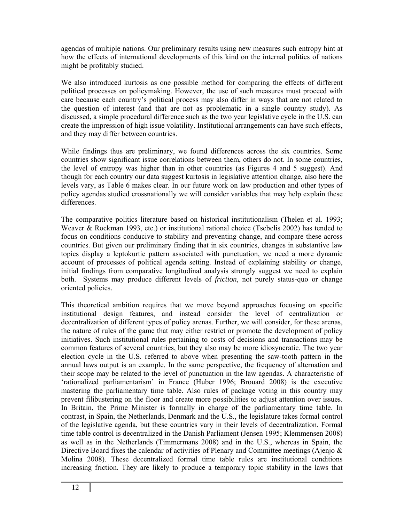agendas of multiple nations. Our preliminary results using new measures such entropy hint at how the effects of international developments of this kind on the internal politics of nations might be profitably studied.

We also introduced kurtosis as one possible method for comparing the effects of different political processes on policymaking. However, the use of such measures must proceed with care because each country's political process may also differ in ways that are not related to the question of interest (and that are not as problematic in a single country study). As discussed, a simple procedural difference such as the two year legislative cycle in the U.S. can create the impression of high issue volatility. Institutional arrangements can have such effects, and they may differ between countries.

While findings thus are preliminary, we found differences across the six countries. Some countries show significant issue correlations between them, others do not. In some countries, the level of entropy was higher than in other countries (as Figures 4 and 5 suggest). And though for each country our data suggest kurtosis in legislative attention change, also here the levels vary, as Table 6 makes clear. In our future work on law production and other types of policy agendas studied crossnationally we will consider variables that may help explain these differences.

The comparative politics literature based on historical institutionalism (Thelen et al. 1993; Weaver & Rockman 1993, etc.) or institutional rational choice (Tsebelis 2002) has tended to focus on conditions conducive to stability and preventing change, and compare these across countries. But given our preliminary finding that in six countries, changes in substantive law topics display a leptokurtic pattern associated with punctuation, we need a more dynamic account of processes of political agenda setting. Instead of explaining stability *or* change, initial findings from comparative longitudinal analysis strongly suggest we need to explain both. Systems may produce different levels of *friction*, not purely status-quo or change oriented policies.

This theoretical ambition requires that we move beyond approaches focusing on specific institutional design features, and instead consider the level of centralization or decentralization of different types of policy arenas. Further, we will consider, for these arenas, the nature of rules of the game that may either restrict or promote the development of policy initiatives. Such institutional rules pertaining to costs of decisions and transactions may be common features of several countries, but they also may be more idiosyncratic. The two year election cycle in the U.S. referred to above when presenting the saw-tooth pattern in the annual laws output is an example. In the same perspective, the frequency of alternation and their scope may be related to the level of punctuation in the law agendas. A characteristic of 'rationalized parliamentarism' in France (Huber 1996; Brouard 2008) is the executive mastering the parliamentary time table. Also rules of package voting in this country may prevent filibustering on the floor and create more possibilities to adjust attention over issues. In Britain, the Prime Minister is formally in charge of the parliamentary time table. In contrast, in Spain, the Netherlands, Denmark and the U.S., the legislature takes formal control of the legislative agenda, but these countries vary in their levels of decentralization. Formal time table control is decentralized in the Danish Parliament (Jensen 1995; Klemmensen 2008) as well as in the Netherlands (Timmermans 2008) and in the U.S., whereas in Spain, the Directive Board fixes the calendar of activities of Plenary and Committee meetings (Ajenjo & Molina 2008). These decentralized formal time table rules are institutional conditions increasing friction. They are likely to produce a temporary topic stability in the laws that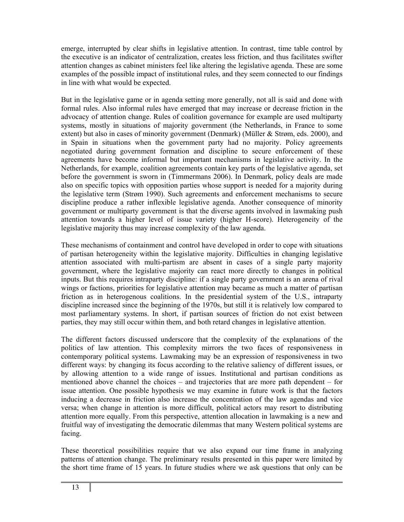emerge, interrupted by clear shifts in legislative attention. In contrast, time table control by the executive is an indicator of centralization, creates less friction, and thus facilitates swifter attention changes as cabinet ministers feel like altering the legislative agenda. These are some examples of the possible impact of institutional rules, and they seem connected to our findings in line with what would be expected.

But in the legislative game or in agenda setting more generally, not all is said and done with formal rules. Also informal rules have emerged that may increase or decrease friction in the advocacy of attention change. Rules of coalition governance for example are used multiparty systems, mostly in situations of majority government (the Netherlands, in France to some extent) but also in cases of minority government (Denmark) (Müller & Strøm, eds. 2000), and in Spain in situations when the government party had no majority. Policy agreements negotiated during government formation and discipline to secure enforcement of these agreements have become informal but important mechanisms in legislative activity. In the Netherlands, for example, coalition agreements contain key parts of the legislative agenda, set before the government is sworn in (Timmermans 2006). In Denmark, policy deals are made also on specific topics with opposition parties whose support is needed for a majority during the legislative term (Strøm 1990). Such agreements and enforcement mechanisms to secure discipline produce a rather inflexible legislative agenda. Another consequence of minority government or multiparty government is that the diverse agents involved in lawmaking push attention towards a higher level of issue variety (higher H-score). Heterogeneity of the legislative majority thus may increase complexity of the law agenda.

These mechanisms of containment and control have developed in order to cope with situations of partisan heterogeneity within the legislative majority. Difficulties in changing legislative attention associated with multi-partism are absent in cases of a single party majority government, where the legislative majority can react more directly to changes in political inputs. But this requires intraparty discipline: if a single party government is an arena of rival wings or factions, priorities for legislative attention may became as much a matter of partisan friction as in heterogenous coalitions. In the presidential system of the U.S., intraparty discipline increased since the beginning of the 1970s, but still it is relatively low compared to most parliamentary systems. In short, if partisan sources of friction do not exist between parties, they may still occur within them, and both retard changes in legislative attention.

The different factors discussed underscore that the complexity of the explanations of the politics of law attention. This complexity mirrors the two faces of responsiveness in contemporary political systems. Lawmaking may be an expression of responsiveness in two different ways: by changing its focus according to the relative saliency of different issues, or by allowing attention to a wide range of issues. Institutional and partisan conditions as mentioned above channel the choices – and trajectories that are more path dependent – for issue attention. One possible hypothesis we may examine in future work is that the factors inducing a decrease in friction also increase the concentration of the law agendas and vice versa; when change in attention is more difficult, political actors may resort to distributing attention more equally. From this perspective, attention allocation in lawmaking is a new and fruitful way of investigating the democratic dilemmas that many Western political systems are facing.

These theoretical possibilities require that we also expand our time frame in analyzing patterns of attention change. The preliminary results presented in this paper were limited by the short time frame of 15 years. In future studies where we ask questions that only can be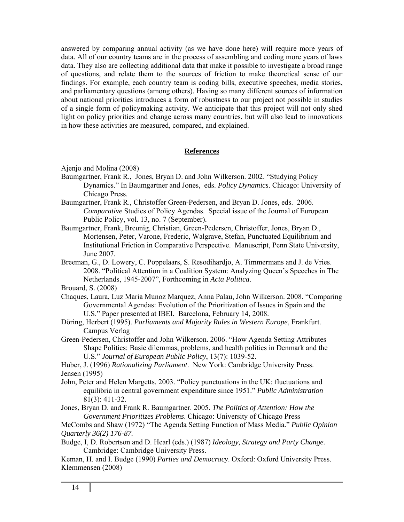answered by comparing annual activity (as we have done here) will require more years of data. All of our country teams are in the process of assembling and coding more years of laws data. They also are collecting additional data that make it possible to investigate a broad range of questions, and relate them to the sources of friction to make theoretical sense of our findings. For example, each country team is coding bills, executive speeches, media stories, and parliamentary questions (among others). Having so many different sources of information about national priorities introduces a form of robustness to our project not possible in studies of a single form of policymaking activity. We anticipate that this project will not only shed light on policy priorities and change across many countries, but will also lead to innovations in how these activities are measured, compared, and explained.

## **References**

Ajenjo and Molina (2008)

- Baumgartner, Frank R., Jones, Bryan D. and John Wilkerson. 2002. "Studying Policy Dynamics." In Baumgartner and Jones, eds. *Policy Dynamics*. Chicago: University of Chicago Press.
- Baumgartner, Frank R., Christoffer Green-Pedersen, and Bryan D. Jones, eds. 2006. *Comparative* Studies of Policy Agendas. Special issue of the Journal of European Public Policy, vol. 13, no. 7 (September).
- Baumgartner, Frank, Breunig, Christian, Green-Pedersen, Christoffer, Jones, Bryan D., Mortensen, Peter, Varone, Frederic, Walgrave, Stefan, Punctuated Equilibrium and Institutional Friction in Comparative Perspective. Manuscript, Penn State University, June 2007.
- Breeman, G., D. Lowery, C. Poppelaars, S. Resodihardjo, A. Timmermans and J. de Vries. 2008. "Political Attention in a Coalition System: Analyzing Queen's Speeches in The Netherlands, 1945-2007", Forthcoming in *Acta Politica*.

Brouard, S. (2008)

- Chaques, Laura, Luz Maria Munoz Marquez, Anna Palau, John Wilkerson. 2008. "Comparing Governmental Agendas: Evolution of the Prioritization of Issues in Spain and the U.S." Paper presented at IBEI, Barcelona, February 14, 2008.
- Döring, Herbert (1995). *Parliaments and Majority Rules in Western Europe*, Frankfurt. Campus Verlag
- Green-Pedersen, Christoffer and John Wilkerson. 2006. "How Agenda Setting Attributes Shape Politics: Basic dilemmas, problems, and health politics in Denmark and the U.S." *Journal of European Public Policy*, 13(7): 1039-52.

Huber, J. (1996) *Rationalizing Parliament*. New York: Cambridge University Press. Jensen (1995)

John, Peter and Helen Margetts. 2003. "Policy punctuations in the UK: fluctuations and equilibria in central government expenditure since 1951." *Public Administration*  81(3): 411-32.

Jones, Bryan D. and Frank R. Baumgartner. 2005. *The Politics of Attention: How the Government Prioritizes Problems*. Chicago: University of Chicago Press

McCombs and Shaw (1972) "The Agenda Setting Function of Mass Media." *Public Opinion Quarterly 36(2) 176-87.* 

Budge, I, D. Robertson and D. Hearl (eds.) (1987) *Ideology, Strategy and Party Change.*  Cambridge: Cambridge University Press.

Keman, H. and I. Budge (1990) *Parties and Democracy*. Oxford: Oxford University Press. Klemmensen (2008)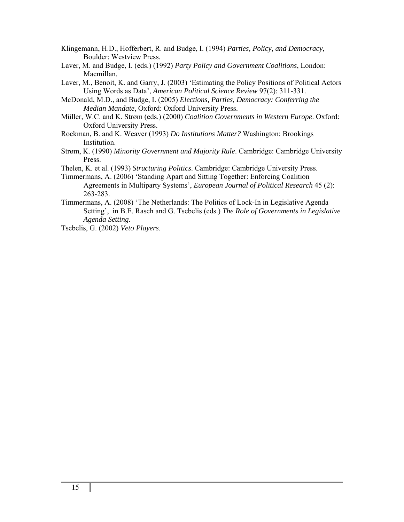- Klingemann, H.D., Hofferbert, R. and Budge, I. (1994) *Parties, Policy, and Democracy*, Boulder: Westview Press.
- Laver, M. and Budge, I. (eds.) (1992) *Party Policy and Government Coalitions*, London: Macmillan.
- Laver, M., Benoit, K. and Garry, J. (2003) 'Estimating the Policy Positions of Political Actors Using Words as Data', *American Political Science Review* 97(2): 311-331.
- McDonald, M.D., and Budge, I. (2005) *Elections, Parties, Democracy: Conferring the Median Mandate*, Oxford: Oxford University Press.
- Müller, W.C. and K. Strøm (eds.) (2000) *Coalition Governments in Western Europe*. Oxford: Oxford University Press.
- Rockman, B. and K. Weaver (1993) *Do Institutions Matter?* Washington: Brookings Institution.
- Strøm, K. (1990) *Minority Government and Majority Rule*. Cambridge: Cambridge University Press.
- Thelen, K. et al. (1993) *Structuring Politics*. Cambridge: Cambridge University Press.
- Timmermans, A. (2006) 'Standing Apart and Sitting Together: Enforcing Coalition Agreements in Multiparty Systems', *European Journal of Political Research* 45 (2): 263-283.
- Timmermans, A. (2008) 'The Netherlands: The Politics of Lock-In in Legislative Agenda Setting', in B.E. Rasch and G. Tsebelis (eds.) *The Role of Governments in Legislative Agenda Setting*.

Tsebelis, G. (2002) *Veto Players*.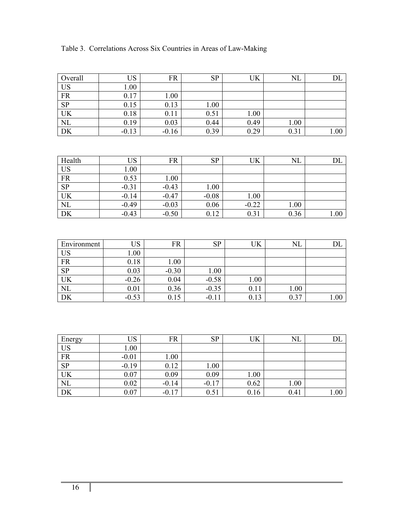| Table 3. Correlations Across Six Countries in Areas of Law-Making |
|-------------------------------------------------------------------|
|-------------------------------------------------------------------|

| Overall   | US      | <b>FR</b> | <b>SP</b> | UK   | NL   | DL   |
|-----------|---------|-----------|-----------|------|------|------|
| <b>US</b> | 00.1    |           |           |      |      |      |
| <b>FR</b> | 0.17    | 1.00      |           |      |      |      |
| <b>SP</b> | 0.15    | 0.13      | 00.1      |      |      |      |
| UK        | 0.18    | 0.11      | 0.51      | 1.00 |      |      |
| <b>NL</b> | 0.19    | 0.03      | 0.44      | 0.49 | 1.00 |      |
| <b>DK</b> | $-0.13$ | $-0.16$   | 0.39      | 0.29 | 0.31 | 1.00 |

| Health    | US      | FR      | <b>SP</b> | UK      | $\rm NL$ |      |
|-----------|---------|---------|-----------|---------|----------|------|
| <b>US</b> | 1.00    |         |           |         |          |      |
| <b>FR</b> | 0.53    | 1.00    |           |         |          |      |
| <b>SP</b> | $-0.31$ | $-0.43$ | 1.00      |         |          |      |
| <b>UK</b> | $-0.14$ | $-0.47$ | $-0.08$   | 1.00    |          |      |
| NL        | $-0.49$ | $-0.03$ | 0.06      | $-0.22$ | 1.00     |      |
| DK        | $-0.43$ | $-0.50$ | 0.12      | 0.31    | 0.36     | 00.1 |

| Environment | US      | FR      | <b>SP</b> | UK   | $_{\rm NL}$ |       |
|-------------|---------|---------|-----------|------|-------------|-------|
| <b>US</b>   | 0.011   |         |           |      |             |       |
| <b>FR</b>   | 0.18    | 1.00    |           |      |             |       |
| <b>SP</b>   | 0.03    | $-0.30$ | 1.00      |      |             |       |
| <b>UK</b>   | $-0.26$ | 0.04    | $-0.58$   | 1.00 |             |       |
| NL          | 0.01    | 0.36    | $-0.35$   | 0.11 | 1.00        |       |
| DK          | $-0.53$ | 0.15    | $-0.11$   | 0.13 | 0.37        | 0.011 |

| Energy    | JS      | FR      | SP      | UK   | $_{\rm NL}$ | பட   |
|-----------|---------|---------|---------|------|-------------|------|
| <b>US</b> | 00.1    |         |         |      |             |      |
| <b>FR</b> | $-0.01$ | 1.00    |         |      |             |      |
| <b>SP</b> | $-0.19$ | 0.12    | 1.00    |      |             |      |
| <b>UK</b> | 0.07    | 0.09    | 0.09    | 1.00 |             |      |
| NL        | 0.02    | $-0.14$ | $-0.17$ | 0.62 | 1.00        |      |
| <b>DK</b> | 0.07    | $-0.17$ | 0.51    | 0.16 | 0.41        | 00.1 |

I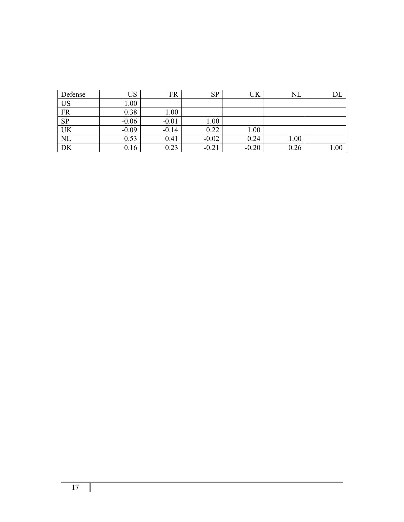| Defense   | US      | FR      | <b>SP</b> | UK      | $\rm NL$ |      |
|-----------|---------|---------|-----------|---------|----------|------|
| <b>US</b> | 1.00    |         |           |         |          |      |
| <b>FR</b> | 0.38    | 1.00    |           |         |          |      |
| <b>SP</b> | $-0.06$ | $-0.01$ | 1.00      |         |          |      |
| UK        | $-0.09$ | $-0.14$ | 0.22      | 1.00    |          |      |
| <b>NL</b> | 0.53    | 0.41    | $-0.02$   | 0.24    | 1.00     |      |
| DK        | 0.16    | 0.23    | $-0.21$   | $-0.20$ | 0.26     | 1.00 |

L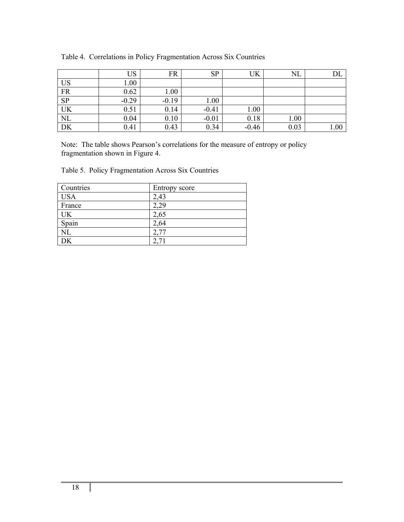|                        | US      | FR      | <b>SP</b> | UK      | $_{\rm NL}$ |      |
|------------------------|---------|---------|-----------|---------|-------------|------|
| US                     | 00.1    |         |           |         |             |      |
| $\overline{\text{FR}}$ | 0.62    | 1.00    |           |         |             |      |
| $\overline{SP}$        | $-0.29$ | $-0.19$ | 1.00      |         |             |      |
| UK                     | 0.51    | 0.14    | $-0.41$   | 1.00    |             |      |
| $\overline{\text{NL}}$ | 0.04    | 0.10    | $-0.01$   | 0.18    | 1.00        |      |
| DK                     | 0.41    | 0.43    | 0.34      | $-0.46$ | 0.03        | 1.00 |

Table 4. Correlations in Policy Fragmentation Across Six Countries

Note: The table shows Pearson's correlations for the measure of entropy or policy fragmentation shown in Figure 4.

| Table 5. Policy Fragmentation Across Six Countries |
|----------------------------------------------------|
|                                                    |

| Countries  | Entropy score |
|------------|---------------|
| <b>USA</b> | 2,43          |
| France     | 2,29          |
| UK         | 2,65          |
| Spain      | 2,64          |
| $\rm NL$   |               |
| DK         |               |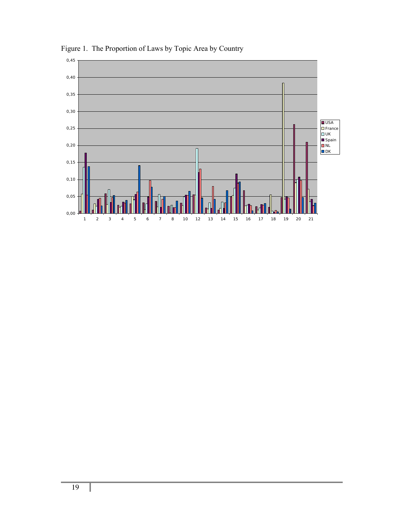

Figure 1. The Proportion of Laws by Topic Area by Country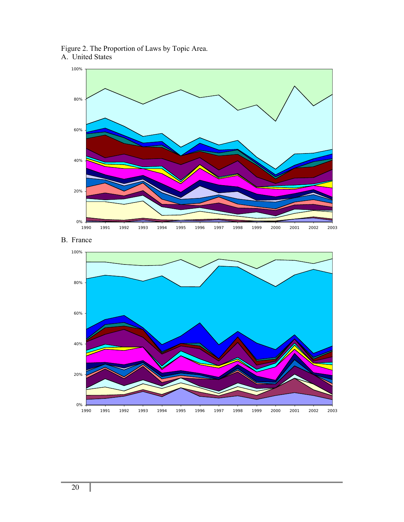Figure 2. The Proportion of Laws by Topic Area. A. United States





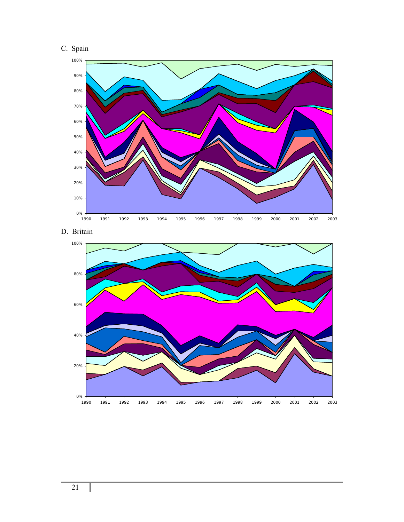





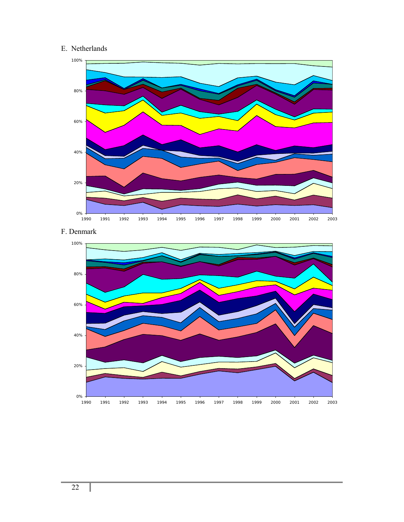# E. Netherlands





## F. Denmark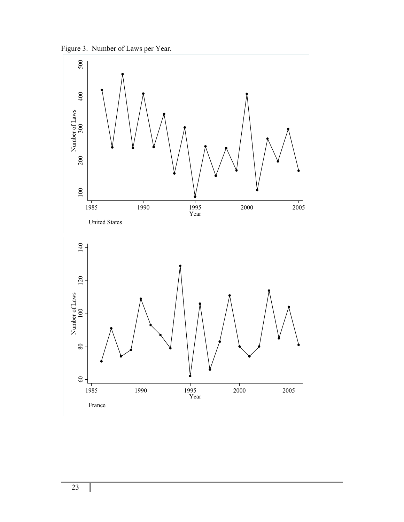

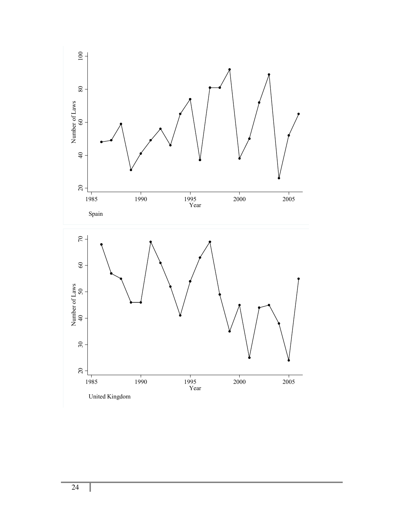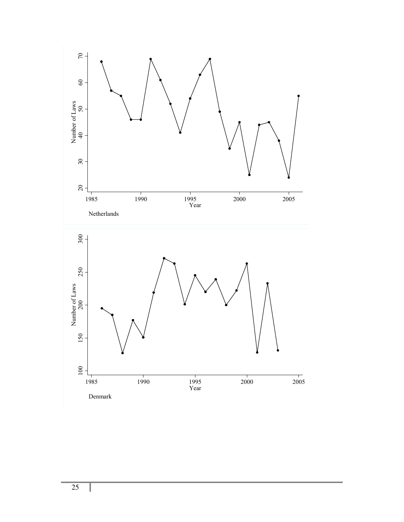

Denmark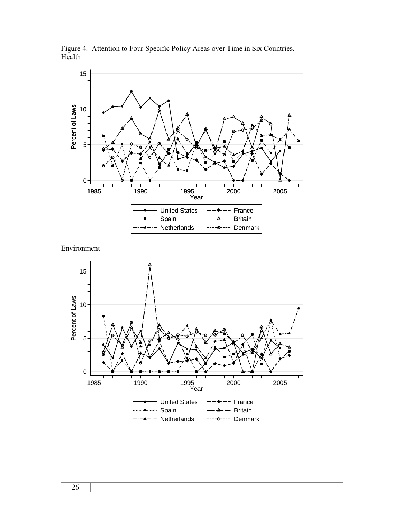

Figure 4. Attention to Four Specific Policy Areas over Time in Six Countries. Health

Environment

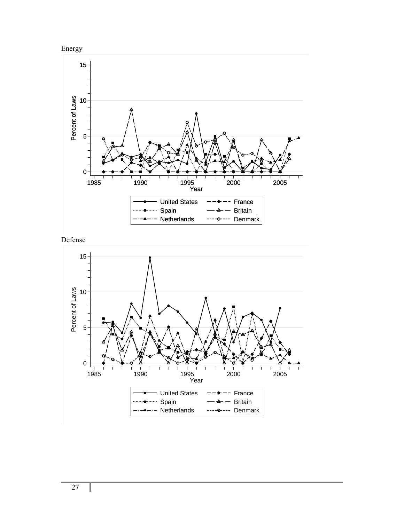





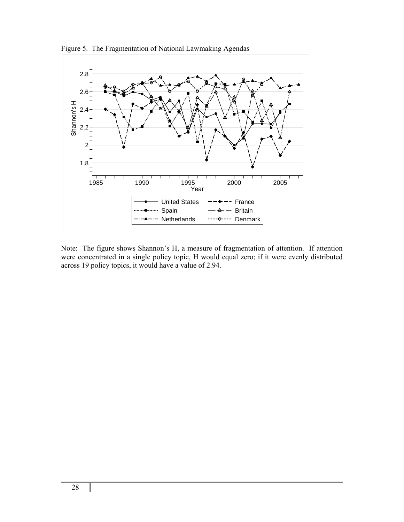

Figure 5. The Fragmentation of National Lawmaking Agendas

Note: The figure shows Shannon's H, a measure of fragmentation of attention. If attention were concentrated in a single policy topic, H would equal zero; if it were evenly distributed across 19 policy topics, it would have a value of 2.94.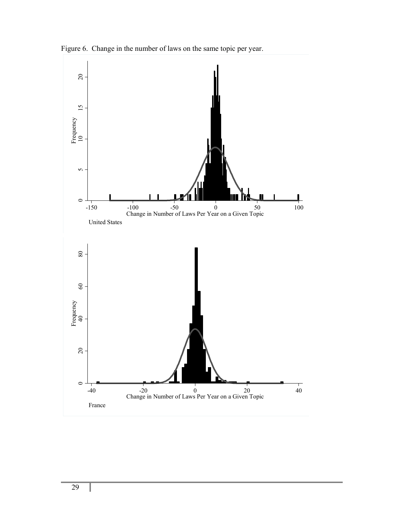

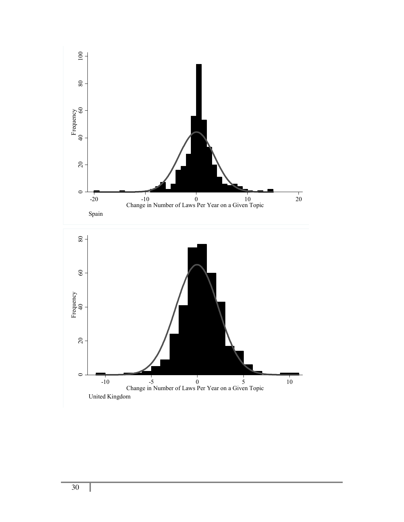